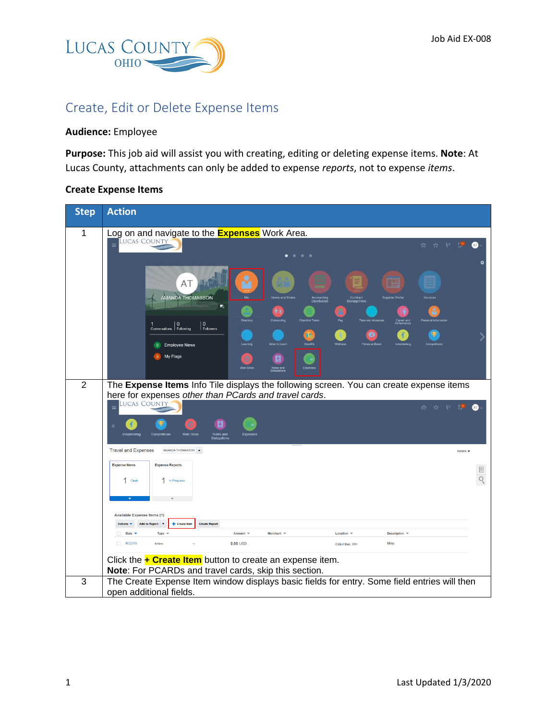

# Create, Edit or Delete Expense Items

## **Audience:** Employee

**Purpose:** This job aid will assist you with creating, editing or deleting expense items. **Note**: At Lucas County, attachments can only be added to expense *reports*, not to expense *items*.

#### **Create Expense Items**

| <b>Step</b>    | <b>Action</b>                                                                                                                            |               |
|----------------|------------------------------------------------------------------------------------------------------------------------------------------|---------------|
| 1              | Log on and navigate to the <b>Expenses</b> Work Area.                                                                                    |               |
|                | LUCAS COUNTY<br>$\equiv$<br>☆<br>P<br>ŢД.<br>ûù.                                                                                         |               |
|                | 0 <sub>0</sub>                                                                                                                           |               |
|                | 989<br>AT                                                                                                                                |               |
|                | AMANDA THOMASSON<br><b>Users and Roles</b><br><b>Supplier Portal</b><br>Contract<br>Management<br>Accounting<br>Distribution             |               |
|                | $\overline{\mathbf{r}}_0$                                                                                                                |               |
|                | areer and<br>whose<br>$\mathbf{0}$<br>$\mathbf{0}$<br>Conversations Following<br>Followers                                               |               |
|                | Œ<br>What to Learn<br><b>Employee News</b><br>$\mathbf{0}$                                                                               |               |
|                | My Flags<br>目                                                                                                                            |               |
|                | Roles and<br>Delenations                                                                                                                 |               |
| $\overline{2}$ | The Expense Items Info Tile displays the following screen. You can create expense items                                                  |               |
|                | here for expenses other than PCards and travel cards.<br><b>LUCAS COUNTY</b><br>$\equiv$<br>☆<br>$\mathbb{R}$<br>ry.<br>û.               | (AT)          |
|                |                                                                                                                                          |               |
|                | Web Clock<br>Roles and<br>Delegations<br>Expense                                                                                         |               |
|                | <b>Travel and Expenses</b><br>AMANDA THOMASSON <b>v</b><br>Actions <b>v</b>                                                              |               |
|                | <b>Expense Items</b><br><b>Expense Reports</b>                                                                                           |               |
|                | 1 In Progress<br>1 Cash                                                                                                                  | $\equiv$<br>Q |
|                |                                                                                                                                          |               |
|                |                                                                                                                                          |               |
|                | <b>Available Expense Items (1)</b><br><b>Add to Report</b><br>Create Iten<br><b>Create Report</b>                                        |               |
|                | Amount $\equiv$<br>Merchant $\equiv$<br>Description $\equiv$<br>Date $\blacktriangledown$<br>Type<br>Location $\mathbb{V}$<br>n.<br>Misc |               |
|                | $\Box$<br>$0.00$ USD<br>8/22/19<br>Airfare<br>Columbus, OH                                                                               |               |
|                | Click the $\div$ Create Item button to create an expense item.<br>Note: For PCARDs and travel cards, skip this section.                  |               |
| 3              | The Create Expense Item window displays basic fields for entry. Some field entries will then                                             |               |
|                | open additional fields.                                                                                                                  |               |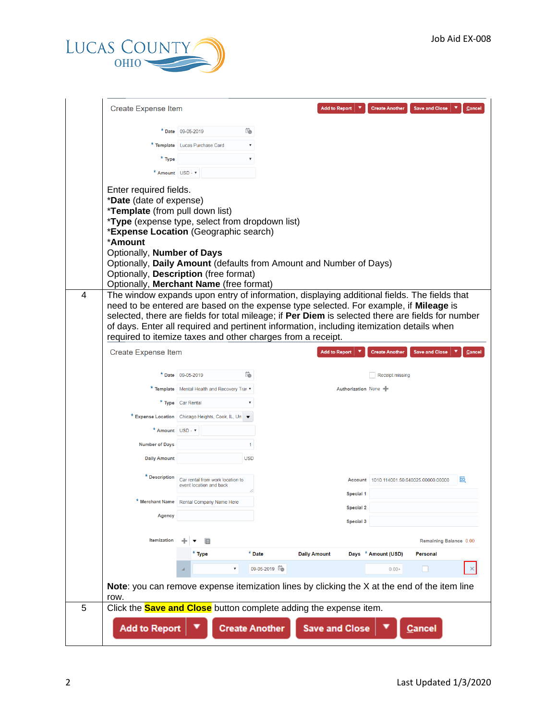

|   | <b>Create Expense Item</b>                                                                                                                                                                                                                                                                                                                                                                                                                            |                                                             |                       | <b>Add to Report</b>  | <b>Create Another</b>                     | <b>Save and Close</b><br>Cancel |
|---|-------------------------------------------------------------------------------------------------------------------------------------------------------------------------------------------------------------------------------------------------------------------------------------------------------------------------------------------------------------------------------------------------------------------------------------------------------|-------------------------------------------------------------|-----------------------|-----------------------|-------------------------------------------|---------------------------------|
|   |                                                                                                                                                                                                                                                                                                                                                                                                                                                       | * Date 09-05-2019                                           | Ë                     |                       |                                           |                                 |
|   |                                                                                                                                                                                                                                                                                                                                                                                                                                                       | * Template Lucas Purchase Card                              |                       |                       |                                           |                                 |
|   | * Type                                                                                                                                                                                                                                                                                                                                                                                                                                                |                                                             | ۷                     |                       |                                           |                                 |
|   | * Amount USD - $\overline{v}$                                                                                                                                                                                                                                                                                                                                                                                                                         |                                                             |                       |                       |                                           |                                 |
|   | Enter required fields.<br>*Date (date of expense)<br>*Template (from pull down list)                                                                                                                                                                                                                                                                                                                                                                  |                                                             |                       |                       |                                           |                                 |
|   | <i>*Type</i> (expense type, select from dropdown list)<br>*Expense Location (Geographic search)<br>*Amount                                                                                                                                                                                                                                                                                                                                            |                                                             |                       |                       |                                           |                                 |
|   | Optionally, Number of Days<br>Optionally, Daily Amount (defaults from Amount and Number of Days)<br>Optionally, Description (free format)                                                                                                                                                                                                                                                                                                             |                                                             |                       |                       |                                           |                                 |
|   | Optionally, Merchant Name (free format)                                                                                                                                                                                                                                                                                                                                                                                                               |                                                             |                       |                       |                                           |                                 |
| 4 | The window expands upon entry of information, displaying additional fields. The fields that<br>need to be entered are based on the expense type selected. For example, if Mileage is<br>selected, there are fields for total mileage; if Per Diem is selected there are fields for number<br>of days. Enter all required and pertinent information, including itemization details when<br>required to itemize taxes and other charges from a receipt. |                                                             |                       |                       |                                           |                                 |
|   | <b>Create Expense Item</b>                                                                                                                                                                                                                                                                                                                                                                                                                            |                                                             |                       | <b>Add to Report</b>  | <b>Create Another</b>                     | <b>Save and Close</b><br>Cancel |
|   |                                                                                                                                                                                                                                                                                                                                                                                                                                                       |                                                             |                       |                       |                                           |                                 |
|   |                                                                                                                                                                                                                                                                                                                                                                                                                                                       | * Date $09-05-2019$                                         | Ëò                    |                       | Receipt missing                           |                                 |
|   |                                                                                                                                                                                                                                                                                                                                                                                                                                                       | * Template   Mental Health and Recovery Trav v              |                       |                       | Authorization None -                      |                                 |
|   |                                                                                                                                                                                                                                                                                                                                                                                                                                                       | * Type Car Rental                                           | ▼                     |                       |                                           |                                 |
|   |                                                                                                                                                                                                                                                                                                                                                                                                                                                       | * Expense Location Chicago Heights, Cook, IL, Un            |                       |                       |                                           |                                 |
|   | * Amount USD - $\bm{v}$                                                                                                                                                                                                                                                                                                                                                                                                                               |                                                             |                       |                       |                                           |                                 |
|   | <b>Number of Days</b>                                                                                                                                                                                                                                                                                                                                                                                                                                 |                                                             | 1                     |                       |                                           |                                 |
|   | <b>Daily Amount</b>                                                                                                                                                                                                                                                                                                                                                                                                                                   |                                                             | <b>USD</b>            |                       |                                           |                                 |
|   | * Description                                                                                                                                                                                                                                                                                                                                                                                                                                         | Car rental from work location to<br>event location and back |                       | Special 1             | Account 1010.114001.50.640025.00000.00000 | 國                               |
|   | *                                                                                                                                                                                                                                                                                                                                                                                                                                                     | Merchant Name Rental Company Name Here                      |                       | <b>Special 2</b>      |                                           |                                 |
|   | Agency                                                                                                                                                                                                                                                                                                                                                                                                                                                |                                                             |                       | Special 3             |                                           |                                 |
|   | <b>Itemization</b>                                                                                                                                                                                                                                                                                                                                                                                                                                    |                                                             |                       |                       |                                           | Remaining Balance 0.00          |
|   |                                                                                                                                                                                                                                                                                                                                                                                                                                                       | * Type                                                      | * Date                | <b>Daily Amount</b>   | Days * Amount (USD)                       | <b>Personal</b>                 |
|   |                                                                                                                                                                                                                                                                                                                                                                                                                                                       |                                                             | 09-05-2019            |                       | $0.00 +$                                  |                                 |
|   | Note: you can remove expense itemization lines by clicking the X at the end of the item line                                                                                                                                                                                                                                                                                                                                                          |                                                             |                       |                       |                                           |                                 |
| 5 | row.<br>Click the <b>Save and Close</b> button complete adding the expense item.                                                                                                                                                                                                                                                                                                                                                                      |                                                             |                       |                       |                                           |                                 |
|   | <b>Add to Report</b>                                                                                                                                                                                                                                                                                                                                                                                                                                  |                                                             | <b>Create Another</b> | <b>Save and Close</b> |                                           | <b>Cancel</b>                   |
|   |                                                                                                                                                                                                                                                                                                                                                                                                                                                       |                                                             |                       |                       |                                           |                                 |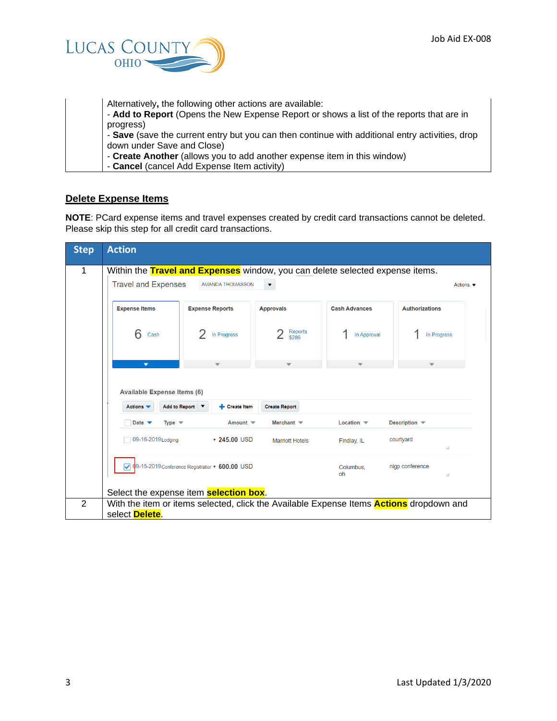

| Alternatively, the following other actions are available:                                       |
|-------------------------------------------------------------------------------------------------|
| - Add to Report (Opens the New Expense Report or shows a list of the reports that are in        |
| progress)                                                                                       |
| - Save (save the current entry but you can then continue with additional entry activities, drop |
| down under Save and Close)                                                                      |
| - Create Another (allows you to add another expense item in this window)                        |
| - Cancel (cancel Add Expense Item activity)                                                     |

### **Delete Expense Items**

**NOTE**: PCard expense items and travel expenses created by credit card transactions cannot be deleted. Please skip this step for all credit card transactions.

| <b>Step</b>    | <b>Action</b>                                                                         |                                                 |                         |                               |                                                                                                |
|----------------|---------------------------------------------------------------------------------------|-------------------------------------------------|-------------------------|-------------------------------|------------------------------------------------------------------------------------------------|
| 1              | Within the Travel and Expenses window, you can delete selected expense items.         |                                                 |                         |                               |                                                                                                |
|                | <b>Travel and Expenses</b><br><b>AMANDA THOMASSON</b><br>Actions $\blacktriangledown$ |                                                 |                         |                               |                                                                                                |
|                | <b>Expense Items</b>                                                                  | <b>Expense Reports</b>                          | <b>Approvals</b>        | <b>Cash Advances</b>          | <b>Authorizations</b>                                                                          |
|                | 6<br>Cash                                                                             | In Progress                                     | <b>Reports</b><br>\$286 | In Approval                   | In Progress                                                                                    |
|                | ▼                                                                                     |                                                 |                         |                               |                                                                                                |
|                | <b>Available Expense Items (6)</b>                                                    |                                                 |                         |                               |                                                                                                |
|                | Actions $\blacktriangledown$                                                          | Add to Report ▼<br><b>Execute Item</b>          | <b>Create Report</b>    |                               |                                                                                                |
|                | Date $\blacktriangledown$<br>Type $\equiv$                                            | Amount $\blacktriangledown$                     | Merchant $\equiv$       | Location $\blacktriangledown$ | Description –                                                                                  |
|                | 09-16-2019 Lodging                                                                    | $\times$ 245.00 USD                             | <b>Marriott Hotels</b>  | Findlay, IL                   | courtyard<br>//                                                                                |
|                |                                                                                       | 09-15-2019 Conference Registratior ▼ 600.00 USD |                         | Columbus,<br>oh               | nigp conference<br>//                                                                          |
|                |                                                                                       | Select the expense item <b>selection box</b> .  |                         |                               |                                                                                                |
| $\overline{2}$ | select Delete.                                                                        |                                                 |                         |                               | With the item or items selected, click the Available Expense Items <b>Actions</b> dropdown and |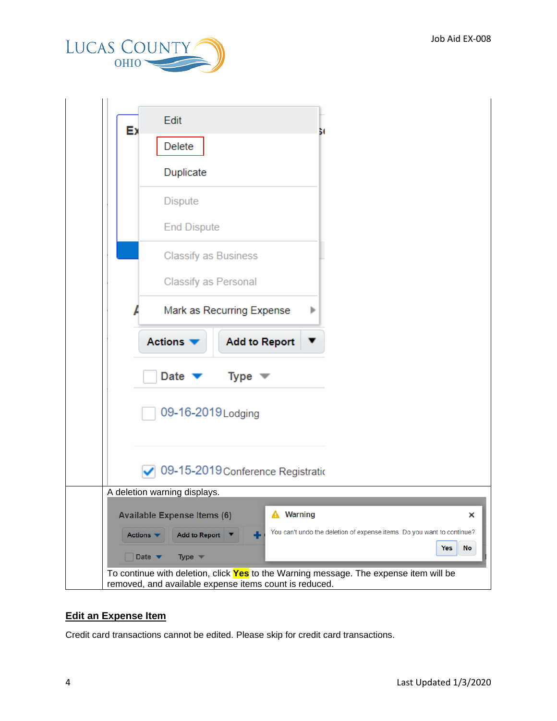

|                              | Edit                                                                                                                                            |
|------------------------------|-------------------------------------------------------------------------------------------------------------------------------------------------|
| Ex                           | Delete                                                                                                                                          |
|                              | Duplicate                                                                                                                                       |
|                              | <b>Dispute</b>                                                                                                                                  |
|                              | <b>End Dispute</b>                                                                                                                              |
|                              | <b>Classify as Business</b>                                                                                                                     |
|                              | Classify as Personal                                                                                                                            |
|                              | Mark as Recurring Expense<br>Þ                                                                                                                  |
|                              | <b>Actions</b><br><b>Add to Report</b>                                                                                                          |
|                              | Date<br>Type $\mathbf{\nabla}$                                                                                                                  |
|                              |                                                                                                                                                 |
|                              | 09-16-2019 Lodging                                                                                                                              |
|                              |                                                                                                                                                 |
|                              | 09-15-2019 Conference Registratio                                                                                                               |
|                              | A deletion warning displays.                                                                                                                    |
|                              | <b>Warning</b><br><b>Available Expense Items (6)</b><br>×                                                                                       |
| Actions $\blacktriangledown$ | You can't undo the deletion of expense items. Do you want to continue?<br><b>Add to Report</b><br>٠                                             |
| Date $\blacktriangledown$    | Yes<br>No<br>Type $\blacktriangledown$                                                                                                          |
|                              | To continue with deletion, click Yes to the Warning message. The expense item will be<br>removed, and available expense items count is reduced. |

## **Edit an Expense Item**

Credit card transactions cannot be edited. Please skip for credit card transactions.